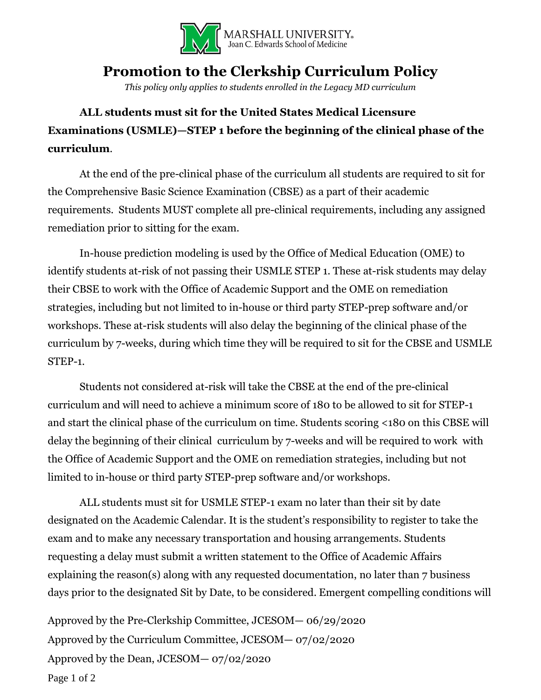

## **Promotion to the Clerkship Curriculum Policy**

*This policy only applies to students enrolled in the Legacy MD curriculum*

## **ALL students must sit for the United States Medical Licensure Examinations (USMLE)—STEP 1 before the beginning of the clinical phase of the curriculum**.

At the end of the pre-clinical phase of the curriculum all students are required to sit for the Comprehensive Basic Science Examination (CBSE) as a part of their academic requirements. Students MUST complete all pre-clinical requirements, including any assigned remediation prior to sitting for the exam.

In-house prediction modeling is used by the Office of Medical Education (OME) to identify students at-risk of not passing their USMLE STEP 1. These at-risk students may delay their CBSE to work with the Office of Academic Support and the OME on remediation strategies, including but not limited to in-house or third party STEP-prep software and/or workshops. These at-risk students will also delay the beginning of the clinical phase of the curriculum by 7-weeks, during which time they will be required to sit for the CBSE and USMLE STEP-1.

Students not considered at-risk will take the CBSE at the end of the pre-clinical curriculum and will need to achieve a minimum score of 180 to be allowed to sit for STEP-1 and start the clinical phase of the curriculum on time. Students scoring <180 on this CBSE will delay the beginning of their clinical curriculum by 7-weeks and will be required to work with the Office of Academic Support and the OME on remediation strategies, including but not limited to in-house or third party STEP-prep software and/or workshops.

ALL students must sit for USMLE STEP-1 exam no later than their sit by date designated on the Academic Calendar. It is the student's responsibility to register to take the exam and to make any necessary transportation and housing arrangements. Students requesting a delay must submit a written statement to the Office of Academic Affairs explaining the reason(s) along with any requested documentation, no later than 7 business days prior to the designated Sit by Date, to be considered. Emergent compelling conditions will

Approved by the Pre-Clerkship Committee, JCESOM— 06/29/2020 Approved by the Curriculum Committee, JCESOM— 07/02/2020 Approved by the Dean, JCESOM— 07/02/2020 Page 1 of 2